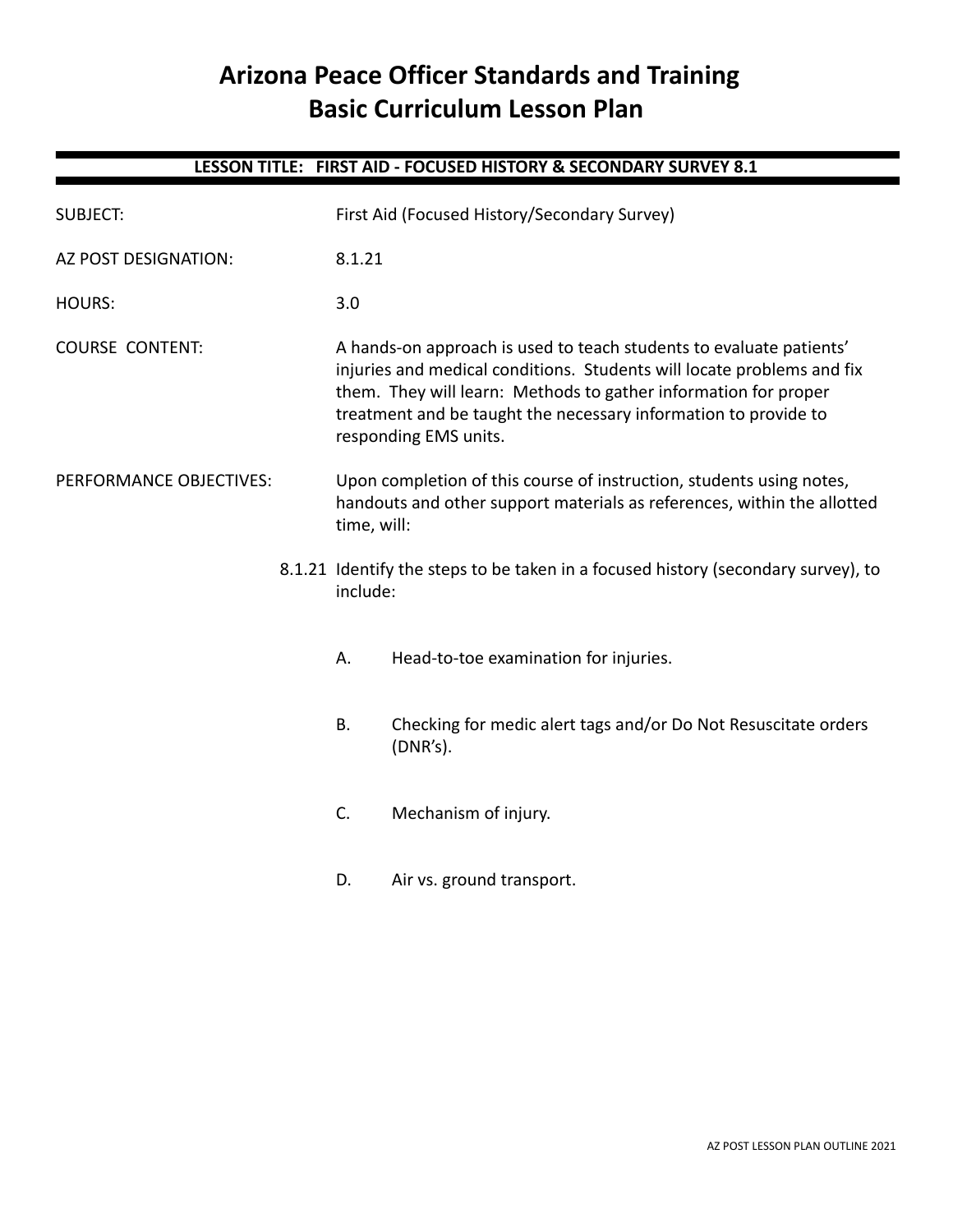# **Arizona Peace Officer Standards and Training Basic Curriculum Lesson Plan**

## **LESSON TITLE: FIRST AID - FOCUSED HISTORY & SECONDARY SURVEY 8.1**

| <b>SUBJECT:</b>         |  |                                                                                                                                                                | First Aid (Focused History/Secondary Survey)                                                                                                                                                                                                                                                                 |
|-------------------------|--|----------------------------------------------------------------------------------------------------------------------------------------------------------------|--------------------------------------------------------------------------------------------------------------------------------------------------------------------------------------------------------------------------------------------------------------------------------------------------------------|
| AZ POST DESIGNATION:    |  | 8.1.21                                                                                                                                                         |                                                                                                                                                                                                                                                                                                              |
| <b>HOURS:</b>           |  | 3.0                                                                                                                                                            |                                                                                                                                                                                                                                                                                                              |
| <b>COURSE CONTENT:</b>  |  |                                                                                                                                                                | A hands-on approach is used to teach students to evaluate patients'<br>injuries and medical conditions. Students will locate problems and fix<br>them. They will learn: Methods to gather information for proper<br>treatment and be taught the necessary information to provide to<br>responding EMS units. |
| PERFORMANCE OBJECTIVES: |  | Upon completion of this course of instruction, students using notes,<br>handouts and other support materials as references, within the allotted<br>time, will: |                                                                                                                                                                                                                                                                                                              |
|                         |  | include:                                                                                                                                                       | 8.1.21 Identify the steps to be taken in a focused history (secondary survey), to                                                                                                                                                                                                                            |
|                         |  | А.                                                                                                                                                             | Head-to-toe examination for injuries.                                                                                                                                                                                                                                                                        |
|                         |  | Β.                                                                                                                                                             | Checking for medic alert tags and/or Do Not Resuscitate orders<br>(DNR's).                                                                                                                                                                                                                                   |
|                         |  | C.                                                                                                                                                             | Mechanism of injury.                                                                                                                                                                                                                                                                                         |
|                         |  | D.                                                                                                                                                             | Air vs. ground transport.                                                                                                                                                                                                                                                                                    |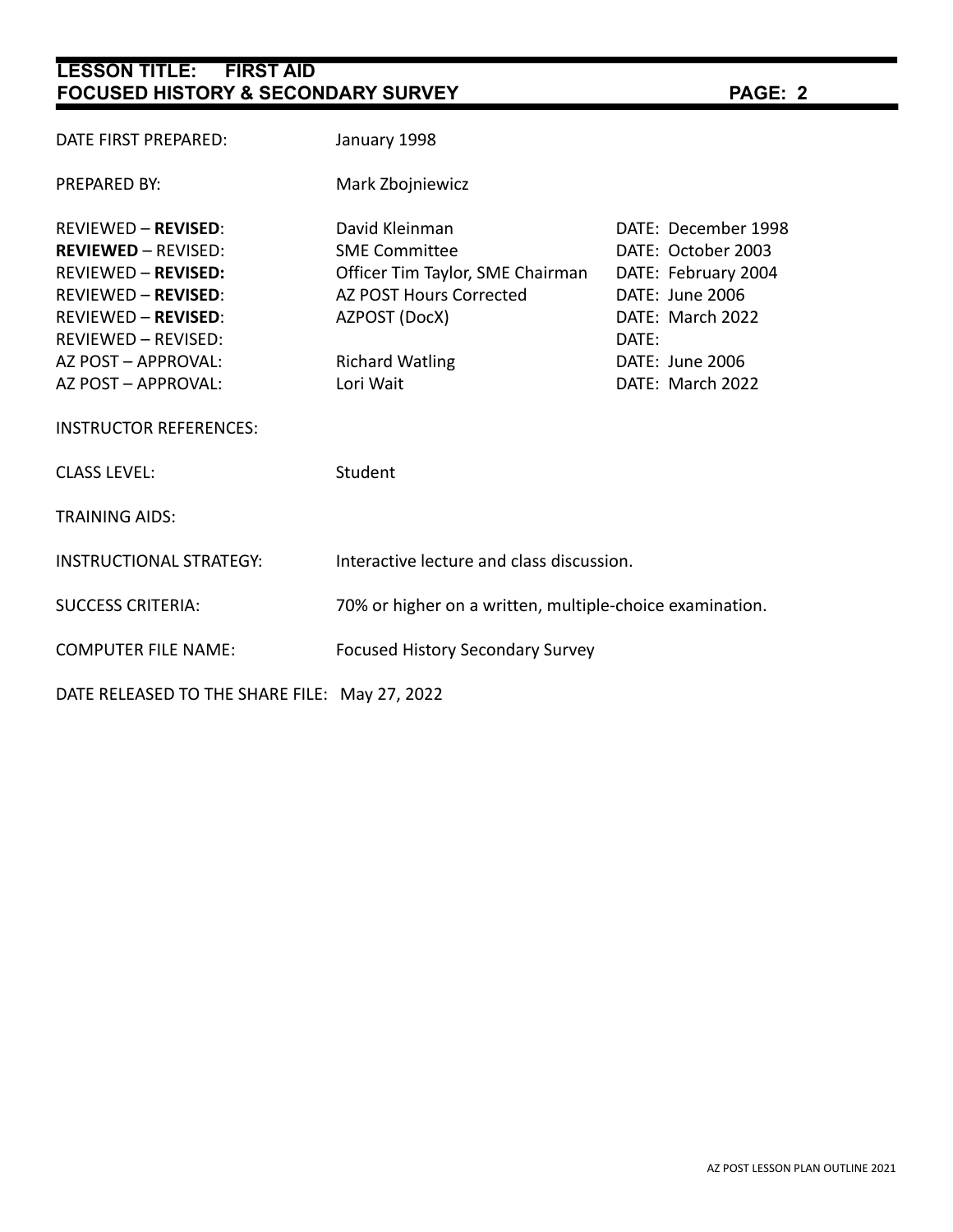| DATE FIRST PREPARED:                                                                                                                                                                                                    | January 1998                                                                                                                                                         |                                                                                                                                                         |  |
|-------------------------------------------------------------------------------------------------------------------------------------------------------------------------------------------------------------------------|----------------------------------------------------------------------------------------------------------------------------------------------------------------------|---------------------------------------------------------------------------------------------------------------------------------------------------------|--|
| PREPARED BY:                                                                                                                                                                                                            | Mark Zbojniewicz                                                                                                                                                     |                                                                                                                                                         |  |
| <b>REVIEWED - REVISED:</b><br><b>REVIEWED - REVISED:</b><br><b>REVIEWED - REVISED:</b><br><b>REVIEWED - REVISED:</b><br><b>REVIEWED - REVISED:</b><br>REVIEWED - REVISED:<br>AZ POST - APPROVAL:<br>AZ POST - APPROVAL: | David Kleinman<br><b>SME Committee</b><br>Officer Tim Taylor, SME Chairman<br><b>AZ POST Hours Corrected</b><br>AZPOST (DocX)<br><b>Richard Watling</b><br>Lori Wait | DATE: December 1998<br>DATE: October 2003<br>DATE: February 2004<br>DATE: June 2006<br>DATE: March 2022<br>DATE:<br>DATE: June 2006<br>DATE: March 2022 |  |
| <b>INSTRUCTOR REFERENCES:</b>                                                                                                                                                                                           |                                                                                                                                                                      |                                                                                                                                                         |  |
| <b>CLASS LEVEL:</b>                                                                                                                                                                                                     | Student                                                                                                                                                              |                                                                                                                                                         |  |
| <b>TRAINING AIDS:</b>                                                                                                                                                                                                   |                                                                                                                                                                      |                                                                                                                                                         |  |
| <b>INSTRUCTIONAL STRATEGY:</b>                                                                                                                                                                                          | Interactive lecture and class discussion.                                                                                                                            |                                                                                                                                                         |  |
| <b>SUCCESS CRITERIA:</b>                                                                                                                                                                                                | 70% or higher on a written, multiple-choice examination.                                                                                                             |                                                                                                                                                         |  |
| <b>COMPUTER FILE NAME:</b>                                                                                                                                                                                              | <b>Focused History Secondary Survey</b>                                                                                                                              |                                                                                                                                                         |  |
| DATE RELEASED TO THE SHARE FILE: May 27, 2022                                                                                                                                                                           |                                                                                                                                                                      |                                                                                                                                                         |  |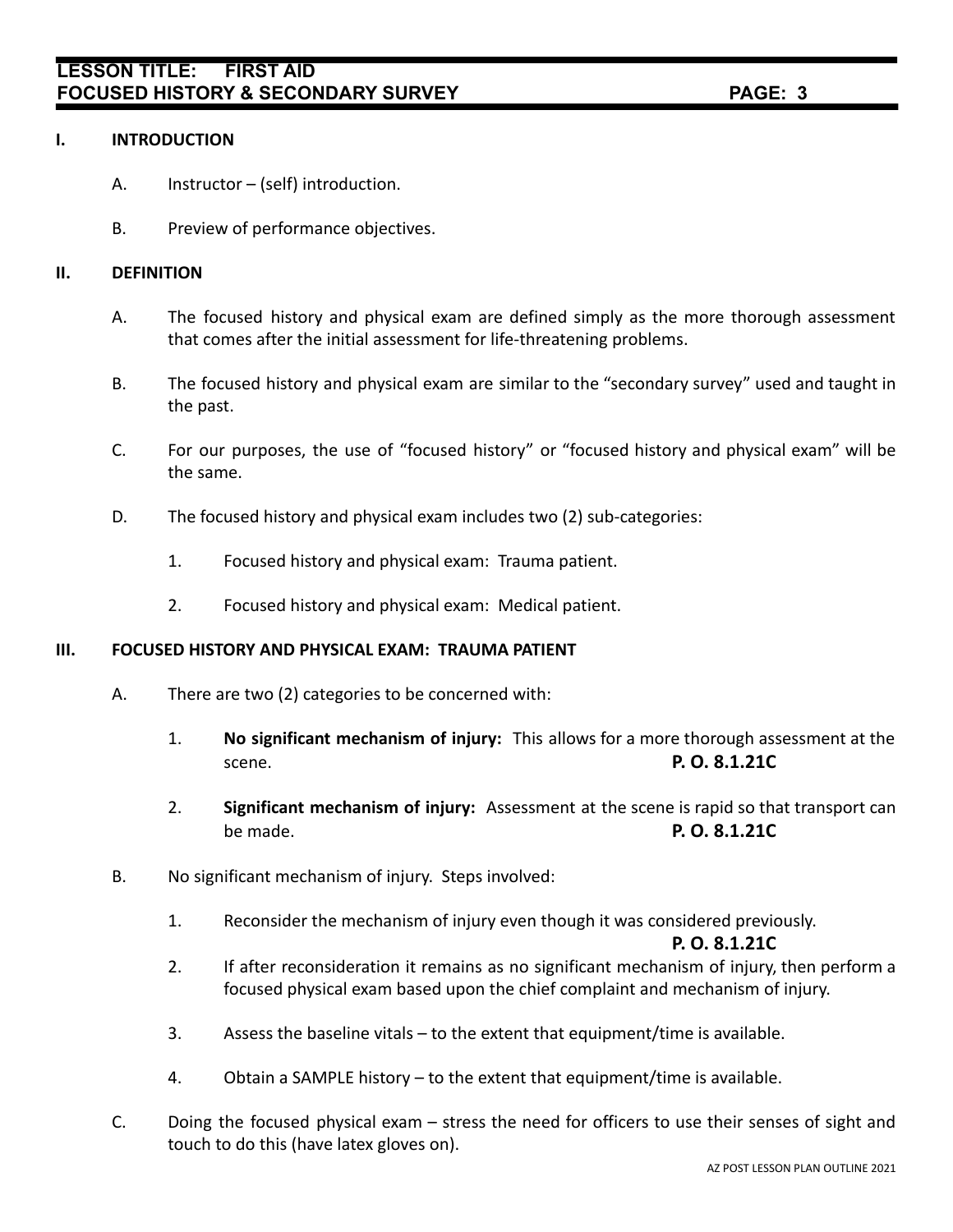#### **I. INTRODUCTION**

- A. Instructor (self) introduction.
- B. Preview of performance objectives.

### **II. DEFINITION**

- A. The focused history and physical exam are defined simply as the more thorough assessment that comes after the initial assessment for life-threatening problems.
- B. The focused history and physical exam are similar to the "secondary survey" used and taught in the past.
- C. For our purposes, the use of "focused history" or "focused history and physical exam" will be the same.
- D. The focused history and physical exam includes two (2) sub-categories:
	- 1. Focused history and physical exam: Trauma patient.
	- 2. Focused history and physical exam: Medical patient.

#### **III. FOCUSED HISTORY AND PHYSICAL EXAM: TRAUMA PATIENT**

- A. There are two (2) categories to be concerned with:
	- 1. **No significant mechanism of injury:** This allows for a more thorough assessment at the scene. **P. O. 8.1.21C**
	- 2. **Significant mechanism of injury:** Assessment at the scene is rapid so that transport can be made. **P. O. 8.1.21C**
- B. No significant mechanism of injury. Steps involved:
	- 1. Reconsider the mechanism of injury even though it was considered previously.

#### **P. O. 8.1.21C**

- 2. If after reconsideration it remains as no significant mechanism of injury, then perform a focused physical exam based upon the chief complaint and mechanism of injury.
- 3. Assess the baseline vitals to the extent that equipment/time is available.
- 4. Obtain a SAMPLE history to the extent that equipment/time is available.
- C. Doing the focused physical exam stress the need for officers to use their senses of sight and touch to do this (have latex gloves on).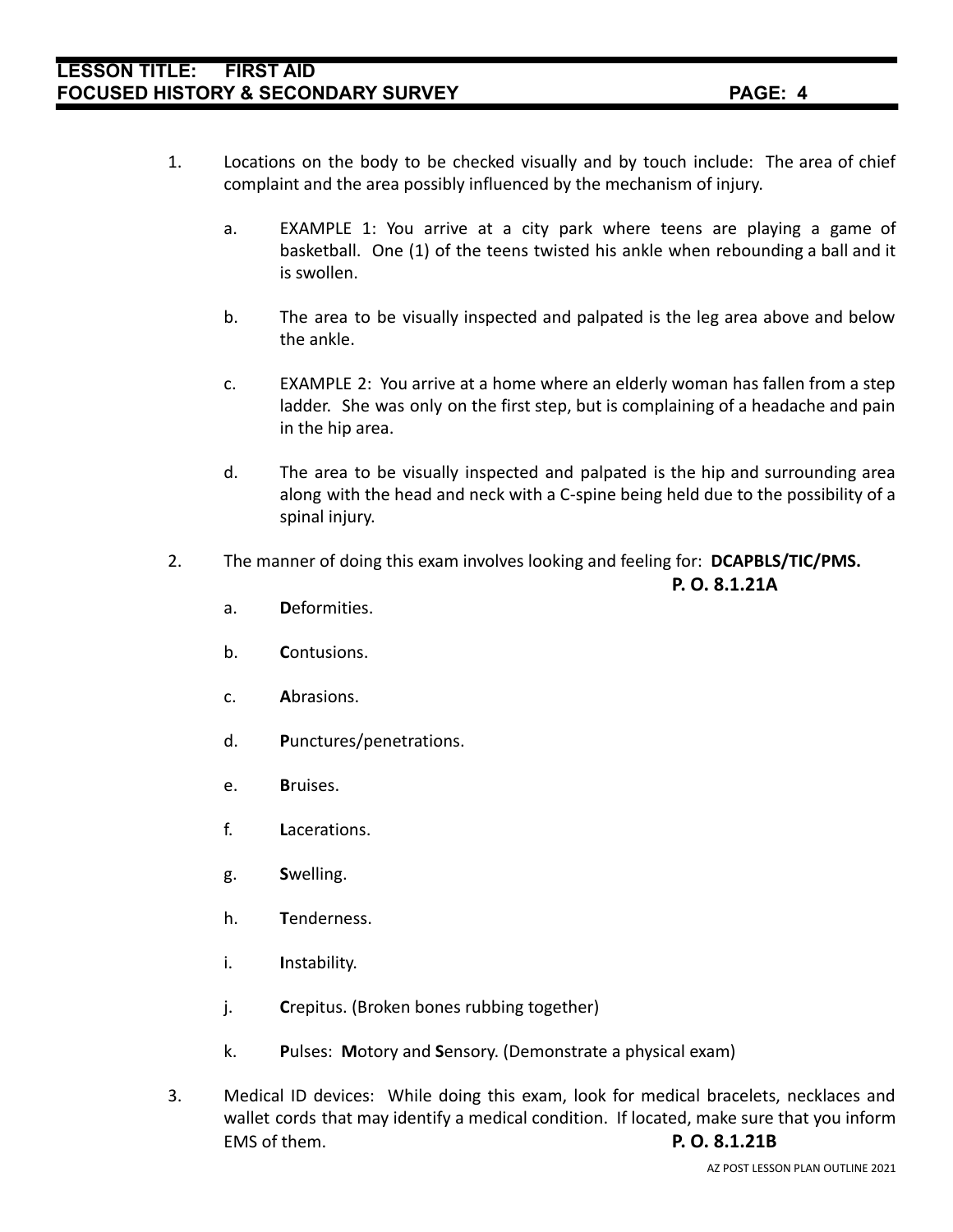- 1. Locations on the body to be checked visually and by touch include: The area of chief complaint and the area possibly influenced by the mechanism of injury.
	- a. EXAMPLE 1: You arrive at a city park where teens are playing a game of basketball. One (1) of the teens twisted his ankle when rebounding a ball and it is swollen.
	- b. The area to be visually inspected and palpated is the leg area above and below the ankle.
	- c. EXAMPLE 2: You arrive at a home where an elderly woman has fallen from a step ladder. She was only on the first step, but is complaining of a headache and pain in the hip area.
	- d. The area to be visually inspected and palpated is the hip and surrounding area along with the head and neck with a C-spine being held due to the possibility of a spinal injury.
- 2. The manner of doing this exam involves looking and feeling for: **DCAPBLS/TIC/PMS.**

**P. O. 8.1.21A**

- a. **D**eformities.
- b. **C**ontusions.
- c. **A**brasions.
- d. **P**unctures/penetrations.
- e. **B**ruises.
- f. **L**acerations.
- g. **S**welling.
- h. **T**enderness.
- i. **I**nstability.
- j. **C**repitus. (Broken bones rubbing together)
- k. **P**ulses: **M**otory and **S**ensory. (Demonstrate a physical exam)
- 3. Medical ID devices: While doing this exam, look for medical bracelets, necklaces and wallet cords that may identify a medical condition. If located, make sure that you inform EMS of them. **P. O. 8.1.21B**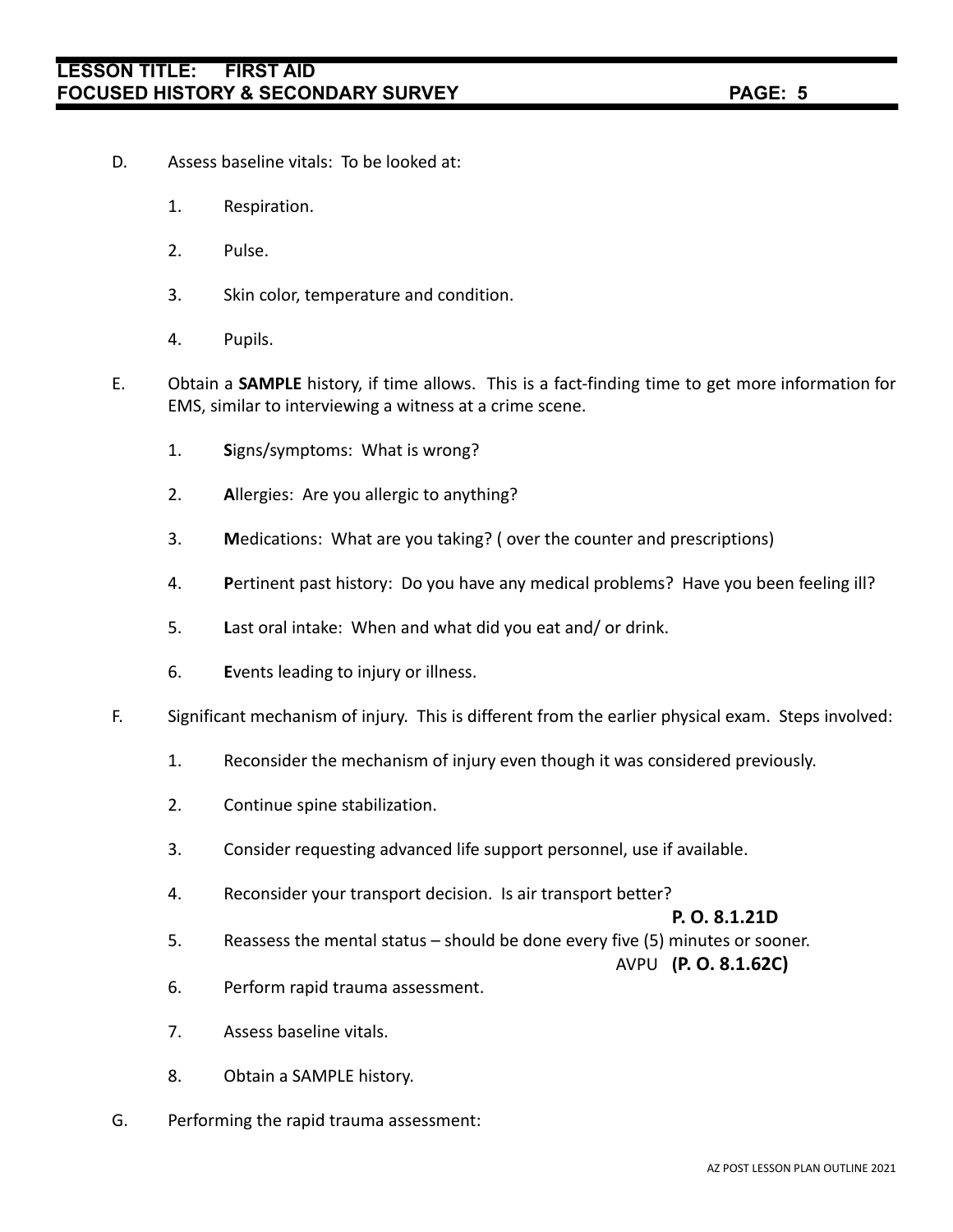- D. Assess baseline vitals: To be looked at:
	- 1. Respiration.
	- 2. Pulse.
	- 3. Skin color, temperature and condition.
	- 4. Pupils.
- E. Obtain a **SAMPLE** history, if time allows. This is a fact-finding time to get more information for EMS, similar to interviewing a witness at a crime scene.
	- 1. **S**igns/symptoms: What is wrong?
	- 2. **A**llergies: Are you allergic to anything?
	- 3. **M**edications: What are you taking? ( over the counter and prescriptions)
	- 4. **P**ertinent past history: Do you have any medical problems? Have you been feeling ill?
	- 5. **L**ast oral intake: When and what did you eat and/ or drink.
	- 6. **E**vents leading to injury or illness.
- F. Significant mechanism of injury. This is different from the earlier physical exam. Steps involved:
	- 1. Reconsider the mechanism of injury even though it was considered previously.
	- 2. Continue spine stabilization.
	- 3. Consider requesting advanced life support personnel, use if available.
	- 4. Reconsider your transport decision. Is air transport better?

### **P. O. 8.1.21D**

5. Reassess the mental status – should be done every five (5) minutes or sooner.

### AVPU **(P. O. 8.1.62C)**

- 6. Perform rapid trauma assessment.
- 7. Assess baseline vitals.
- 8. Obtain a SAMPLE history.
- G. Performing the rapid trauma assessment: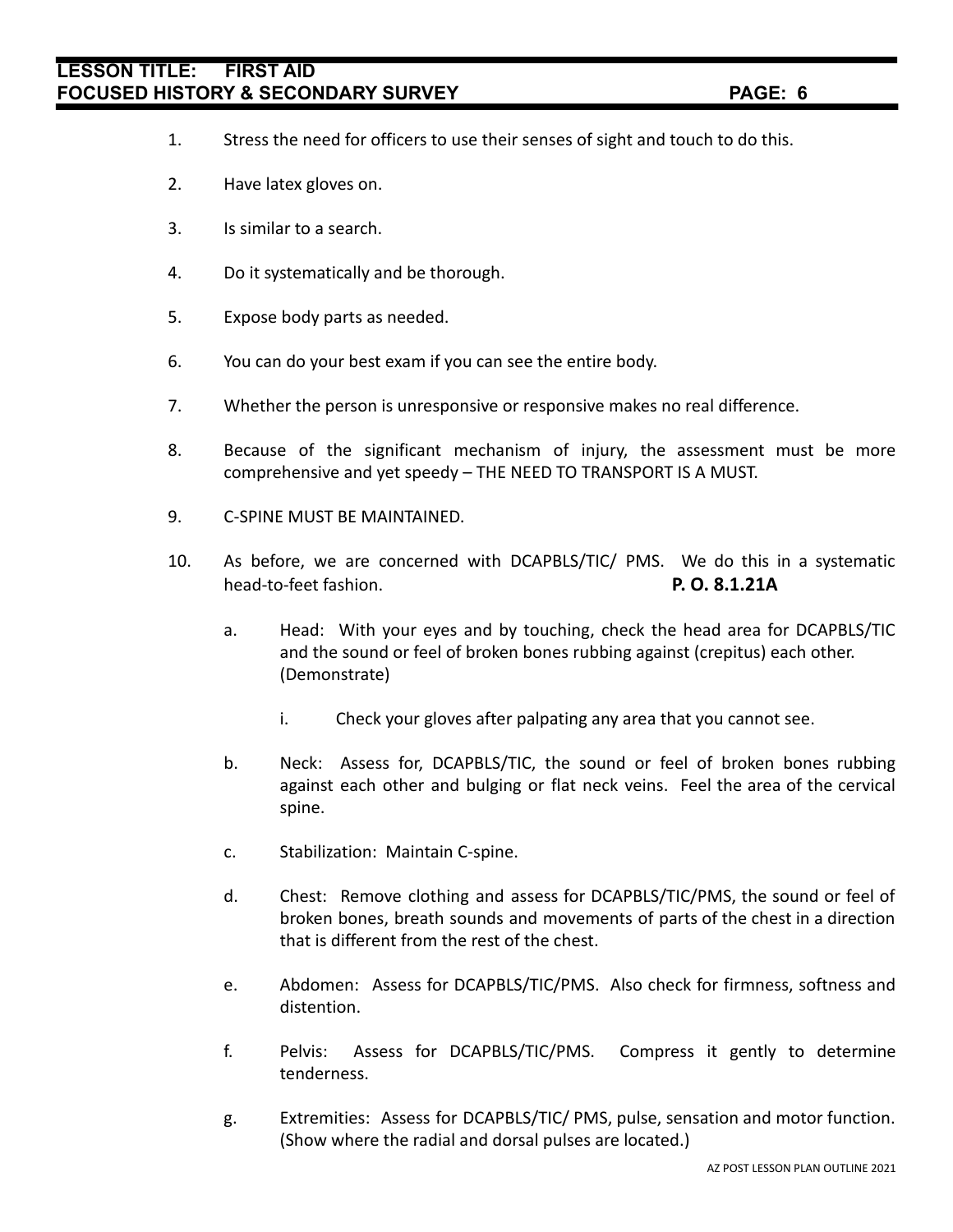- 1. Stress the need for officers to use their senses of sight and touch to do this.
- 2. Have latex gloves on.
- 3. Is similar to a search.
- 4. Do it systematically and be thorough.
- 5. Expose body parts as needed.
- 6. You can do your best exam if you can see the entire body.
- 7. Whether the person is unresponsive or responsive makes no real difference.
- 8. Because of the significant mechanism of injury, the assessment must be more comprehensive and yet speedy – THE NEED TO TRANSPORT IS A MUST.
- 9. C-SPINE MUST BE MAINTAINED.
- 10. As before, we are concerned with DCAPBLS/TIC/ PMS. We do this in a systematic head-to-feet fashion. **P. O. 8.1.21A**
	- a. Head: With your eyes and by touching, check the head area for DCAPBLS/TIC and the sound or feel of broken bones rubbing against (crepitus) each other. (Demonstrate)
		- i. Check your gloves after palpating any area that you cannot see.
	- b. Neck: Assess for, DCAPBLS/TIC, the sound or feel of broken bones rubbing against each other and bulging or flat neck veins. Feel the area of the cervical spine.
	- c. Stabilization: Maintain C-spine.
	- d. Chest: Remove clothing and assess for DCAPBLS/TIC/PMS, the sound or feel of broken bones, breath sounds and movements of parts of the chest in a direction that is different from the rest of the chest.
	- e. Abdomen: Assess for DCAPBLS/TIC/PMS. Also check for firmness, softness and distention.
	- f. Pelvis: Assess for DCAPBLS/TIC/PMS. Compress it gently to determine tenderness.
	- g. Extremities: Assess for DCAPBLS/TIC/ PMS, pulse, sensation and motor function. (Show where the radial and dorsal pulses are located.)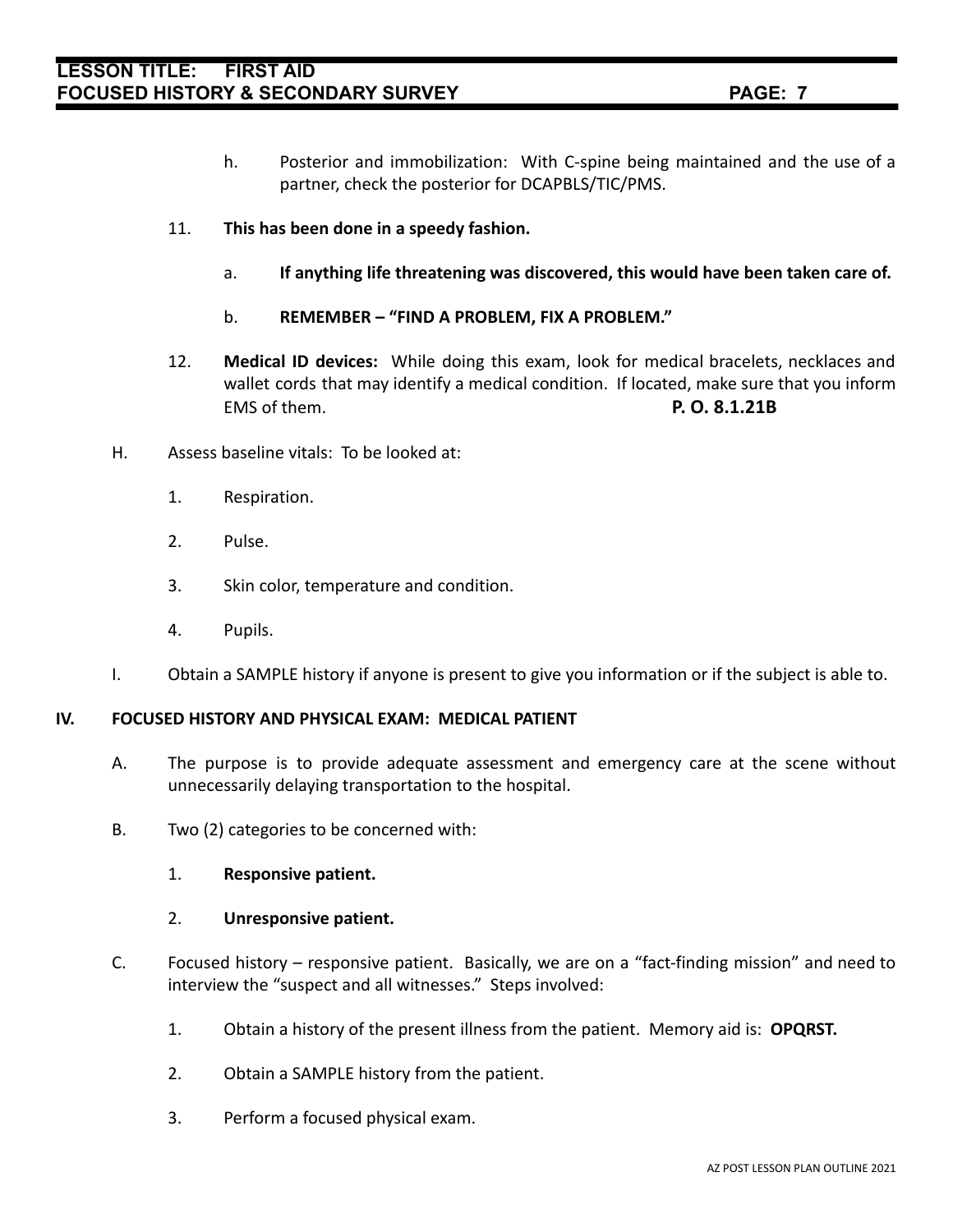- h. Posterior and immobilization: With C-spine being maintained and the use of a partner, check the posterior for DCAPBLS/TIC/PMS.
- 11. **This has been done in a speedy fashion.**
	- a. **If anything life threatening was discovered, this would have been taken care of.**
	- b. **REMEMBER "FIND A PROBLEM, FIX A PROBLEM."**
- 12. **Medical ID devices:** While doing this exam, look for medical bracelets, necklaces and wallet cords that may identify a medical condition. If located, make sure that you inform EMS of them. **P. O. 8.1.21B**
- H. Assess baseline vitals: To be looked at:
	- 1. Respiration.
	- 2. Pulse.
	- 3. Skin color, temperature and condition.
	- 4. Pupils.
- I. Obtain a SAMPLE history if anyone is present to give you information or if the subject is able to.

#### **IV. FOCUSED HISTORY AND PHYSICAL EXAM: MEDICAL PATIENT**

- A. The purpose is to provide adequate assessment and emergency care at the scene without unnecessarily delaying transportation to the hospital.
- B. Two (2) categories to be concerned with:
	- 1. **Responsive patient.**

#### 2. **Unresponsive patient.**

- C. Focused history responsive patient. Basically, we are on a "fact-finding mission" and need to interview the "suspect and all witnesses." Steps involved:
	- 1. Obtain a history of the present illness from the patient. Memory aid is: **OPQRST.**
	- 2. Obtain a SAMPLE history from the patient.
	- 3. Perform a focused physical exam.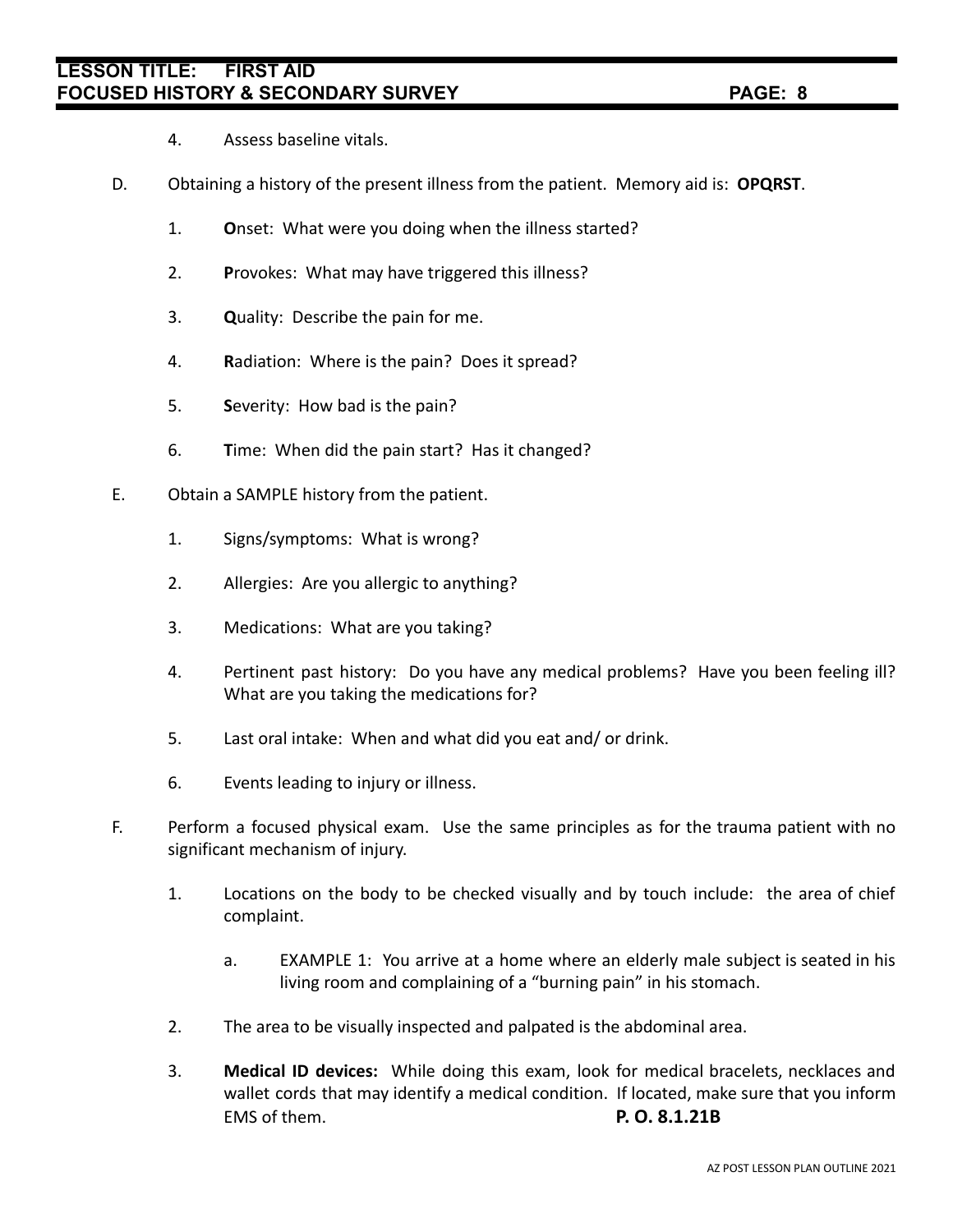- 4. Assess baseline vitals.
- D. Obtaining a history of the present illness from the patient. Memory aid is: **OPQRST**.
	- 1. **O**nset: What were you doing when the illness started?
	- 2. **P**rovokes: What may have triggered this illness?
	- 3. **Q**uality: Describe the pain for me.
	- 4. **R**adiation: Where is the pain? Does it spread?
	- 5. **S**everity: How bad is the pain?
	- 6. **T**ime: When did the pain start? Has it changed?
- E. Obtain a SAMPLE history from the patient.
	- 1. Signs/symptoms: What is wrong?
	- 2. Allergies: Are you allergic to anything?
	- 3. Medications: What are you taking?
	- 4. Pertinent past history: Do you have any medical problems? Have you been feeling ill? What are you taking the medications for?
	- 5. Last oral intake: When and what did you eat and/ or drink.
	- 6. Events leading to injury or illness.
- F. Perform a focused physical exam. Use the same principles as for the trauma patient with no significant mechanism of injury.
	- 1. Locations on the body to be checked visually and by touch include: the area of chief complaint.
		- a. EXAMPLE 1: You arrive at a home where an elderly male subject is seated in his living room and complaining of a "burning pain" in his stomach.
	- 2. The area to be visually inspected and palpated is the abdominal area.
	- 3. **Medical ID devices:** While doing this exam, look for medical bracelets, necklaces and wallet cords that may identify a medical condition. If located, make sure that you inform EMS of them. **P. O. 8.1.21B**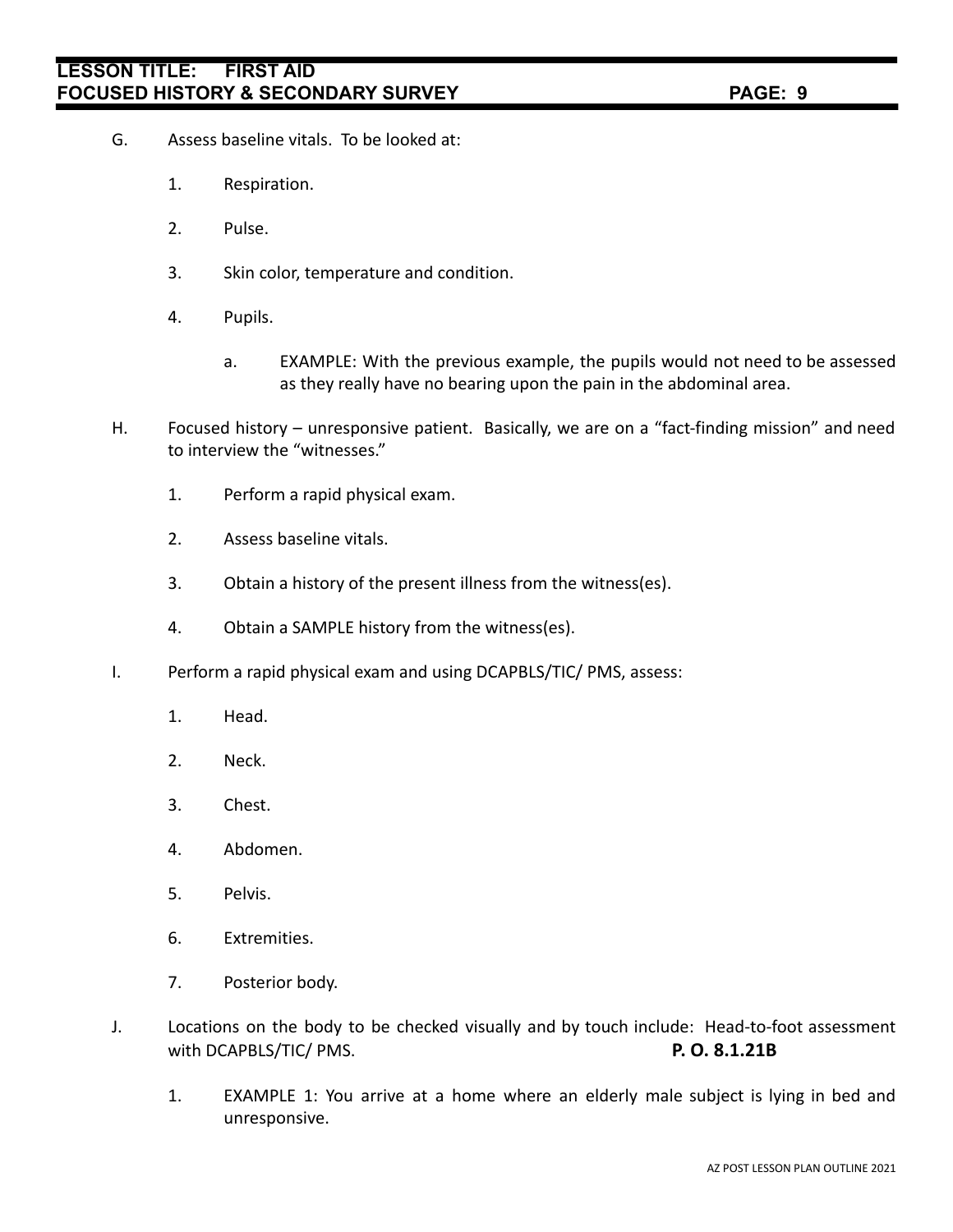- G. Assess baseline vitals. To be looked at:
	- 1. Respiration.
	- 2. Pulse.
	- 3. Skin color, temperature and condition.
	- 4. Pupils.
		- a. EXAMPLE: With the previous example, the pupils would not need to be assessed as they really have no bearing upon the pain in the abdominal area.
- H. Focused history unresponsive patient. Basically, we are on a "fact-finding mission" and need to interview the "witnesses."
	- 1. Perform a rapid physical exam.
	- 2. Assess baseline vitals.
	- 3. Obtain a history of the present illness from the witness(es).
	- 4. Obtain a SAMPLE history from the witness(es).
- I. Perform a rapid physical exam and using DCAPBLS/TIC/ PMS, assess:
	- 1. Head.
	- 2. Neck.
	- 3. Chest.
	- 4. Abdomen.
	- 5. Pelvis.
	- 6. Extremities.
	- 7. Posterior body.
- J. Locations on the body to be checked visually and by touch include: Head-to-foot assessment with DCAPBLS/TIC/ PMS. **P. O. 8.1.21B**
	- 1. EXAMPLE 1: You arrive at a home where an elderly male subject is lying in bed and unresponsive.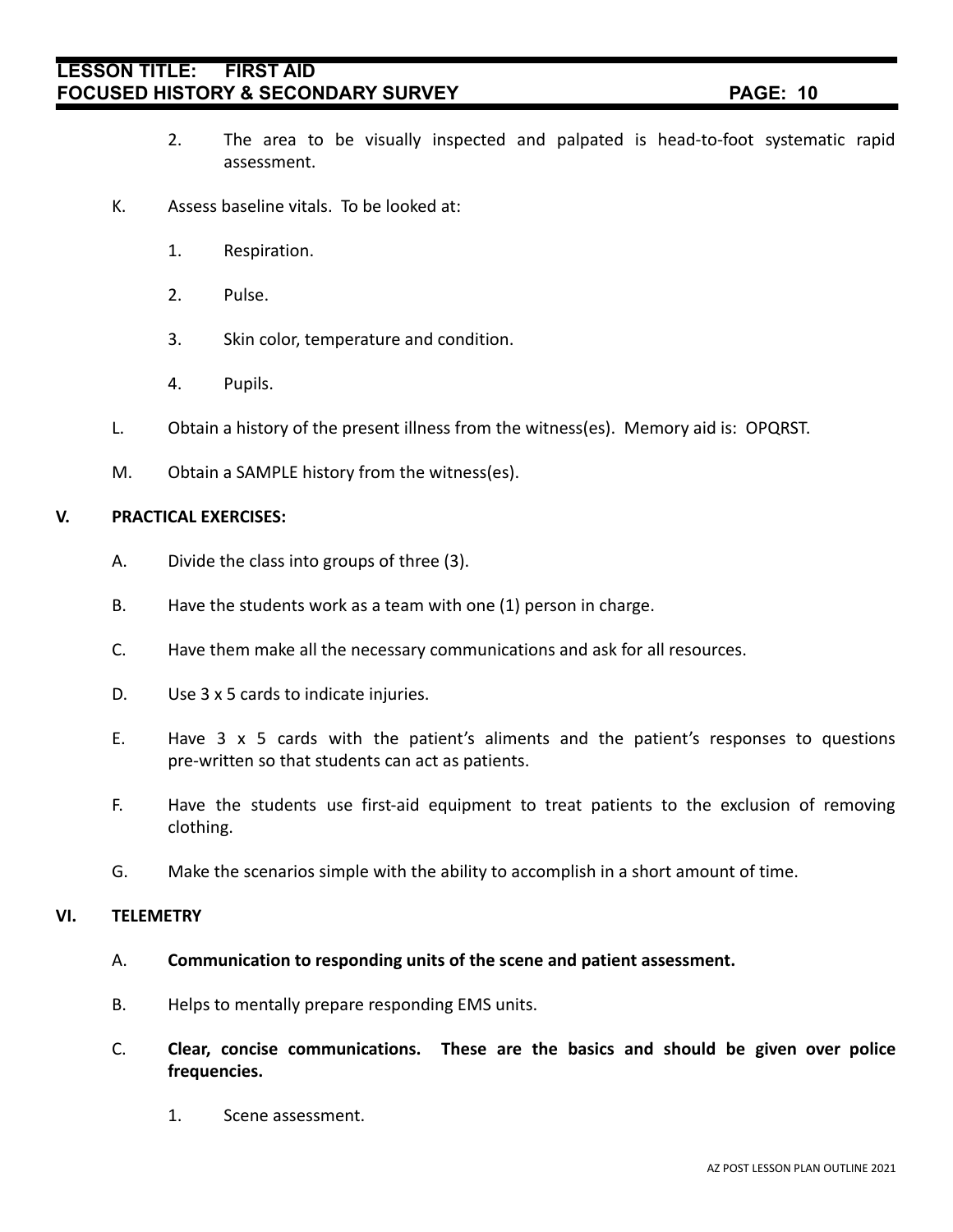- 2. The area to be visually inspected and palpated is head-to-foot systematic rapid assessment.
- K. Assess baseline vitals. To be looked at:
	- 1. Respiration.
	- 2. Pulse.
	- 3. Skin color, temperature and condition.
	- 4. Pupils.
- L. Obtain a history of the present illness from the witness(es). Memory aid is: OPQRST.
- M. Obtain a SAMPLE history from the witness(es).

#### **V. PRACTICAL EXERCISES:**

- A. Divide the class into groups of three (3).
- B. Have the students work as a team with one (1) person in charge.
- C. Have them make all the necessary communications and ask for all resources.
- D. Use 3 x 5 cards to indicate injuries.
- E. Have 3 x 5 cards with the patient's aliments and the patient's responses to questions pre-written so that students can act as patients.
- F. Have the students use first-aid equipment to treat patients to the exclusion of removing clothing.
- G. Make the scenarios simple with the ability to accomplish in a short amount of time.

#### **VI. TELEMETRY**

- A. **Communication to responding units of the scene and patient assessment.**
- B. Helps to mentally prepare responding EMS units.
- C. **Clear, concise communications. These are the basics and should be given over police frequencies.**
	- 1. Scene assessment.